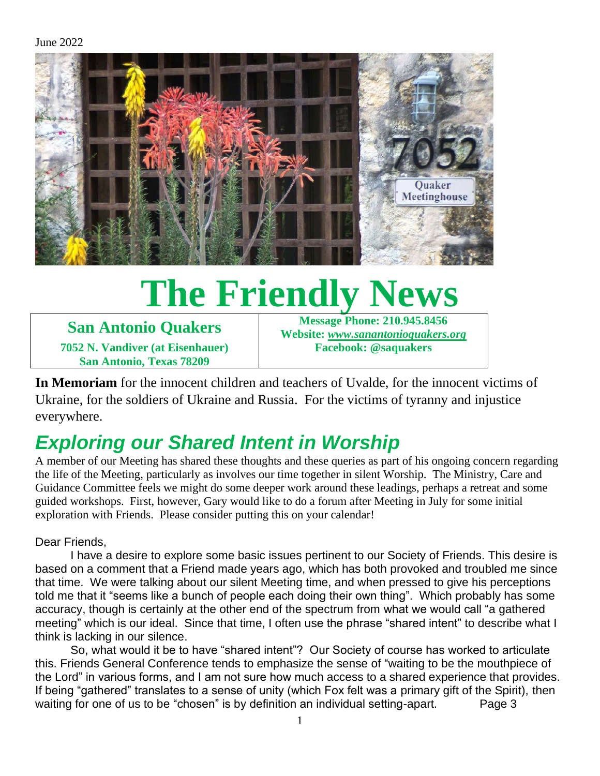

# **The Friendly News**

**San Antonio Quakers 7052 N. Vandiver (at Eisenhauer) San Antonio, Texas 78209**

**Message Phone: 210.945.8456 Website:** *[www.sanantonioquakers.org](http://www.sanantonioquakers.org/)* **Facebook: @saquakers**

**In Memoriam** for the innocent children and teachers of Uvalde, for the innocent victims of Ukraine, for the soldiers of Ukraine and Russia. For the victims of tyranny and injustice everywhere.

# *Exploring our Shared Intent in Worship*

A member of our Meeting has shared these thoughts and these queries as part of his ongoing concern regarding the life of the Meeting, particularly as involves our time together in silent Worship. The Ministry, Care and Guidance Committee feels we might do some deeper work around these leadings, perhaps a retreat and some guided workshops. First, however, Gary would like to do a forum after Meeting in July for some initial exploration with Friends. Please consider putting this on your calendar!

Dear Friends,

I have a desire to explore some basic issues pertinent to our Society of Friends. This desire is based on a comment that a Friend made years ago, which has both provoked and troubled me since that time. We were talking about our silent Meeting time, and when pressed to give his perceptions told me that it "seems like a bunch of people each doing their own thing". Which probably has some accuracy, though is certainly at the other end of the spectrum from what we would call "a gathered meeting" which is our ideal. Since that time, I often use the phrase "shared intent" to describe what I think is lacking in our silence.

 So, what would it be to have "shared intent"? Our Society of course has worked to articulate this. Friends General Conference tends to emphasize the sense of "waiting to be the mouthpiece of the Lord" in various forms, and I am not sure how much access to a shared experience that provides. If being "gathered" translates to a sense of unity (which Fox felt was a primary gift of the Spirit), then waiting for one of us to be "chosen" is by definition an individual setting-apart. Page 3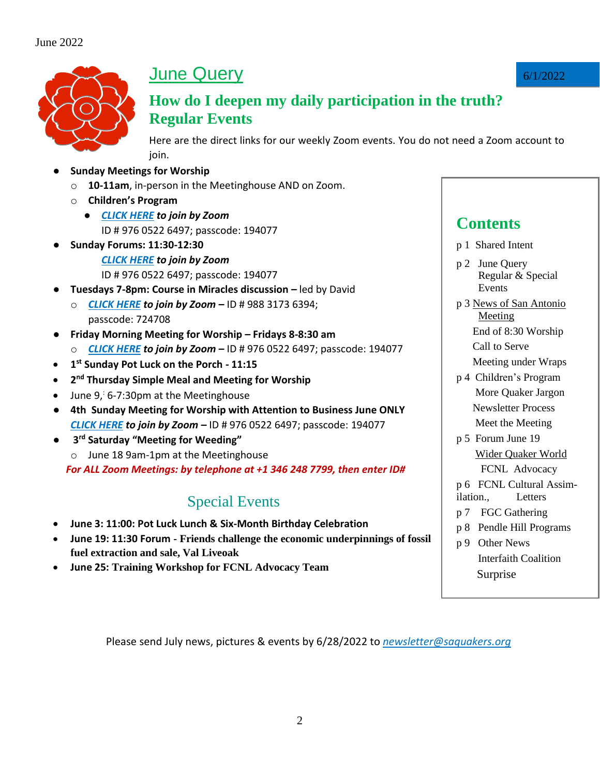

# **June Query**

#### **How do I deepen my daily participation in the truth? Regular Events**

Here are the direct links for our weekly Zoom events. You do not need a Zoom account to join.

- **Sunday Meetings for Worship** 
	- o **10-11am**, in-person in the Meetinghouse AND on Zoom.
	- o **Children's Program** 
		- *[CLICK HERE](https://zoom.us/j/97605226497?pwd=Zmx4WE9xQU9ZVzl6a0wvWnJZeWNsZz09) to join by Zoom* ID # 976 0522 6497; passcode: 194077
- **Sunday Forums: 11:30-12:30** *[CLICK HERE](https://zoom.us/j/97605226497?pwd=Zmx4WE9xQU9ZVzl6a0wvWnJZeWNsZz09) to join by Zoom* ID # 976 0522 6497; passcode: 194077
- **Tuesdays 7-8pm: Course in Miracles discussion –** led by David
- o *[CLICK HERE](https://zoom.us/j/98831736394?pwd=TjltN0Y2RnVzQkp2MHdtaVlYbUJQUT09) to join by Zoom –* ID # 988 3173 6394; passcode: 724708
- **Friday Morning Meeting for Worship – Fridays 8-8:30 am** 
	- o *[CLICK HERE](https://zoom.us/j/97605226497?pwd=Zmx4WE9xQU9ZVzl6a0wvWnJZeWNsZz09) to join by Zoom –* ID # 976 0522 6497; passcode: 194077
- **1 st Sunday Pot Luck on the Porch - 11:15**
- **•** 2<sup>nd</sup> Thursday Simple Meal and Meeting for Worship
- June  $9, 6-7:30$ pm at the Meetinghouse
- **4th Sunday Meeting for Worship with Attention to Business June ONLY** *[CLICK HERE](https://zoom.us/j/97605226497?pwd=Zmx4WE9xQU9ZVzl6a0wvWnJZeWNsZz09) to join by Zoom –* ID # 976 0522 6497; passcode: 194077
- **3 rd Saturday "Meeting for Weeding"**
	- o June 18 9am-1pm at the Meetinghouse

 *For ALL Zoom Meetings: by telephone at +1 346 248 7799, then enter ID#*

#### Special Events

- **June 3: 11:00: Pot Luck Lunch & Six-Month Birthday Celebration**
- **June 19: 11:30 Forum - Friends challenge the economic underpinnings of fossil fuel extraction and sale, Val Liveoak**
- **June 25: Training Workshop for FCNL Advocacy Team**

#### **Contents**

- p 1 Shared Intent
- p 2 June Query Regular & Special **Events**
- p 3 News of San Antonio **Meeting**  End of 8:30 Worship Call to Serve
	- Meeting under Wraps
- p 4 Children's Program More Quaker Jargon Newsletter Process Meet the Meeting
- p 5 Forum June 19 Wider Quaker World
	- FCNL Advocacy
- p 6 FCNL Cultural Assim-
- ilation., Letters
- p 7 FGC Gathering
- p 8 Pendle Hill Programs
- p 9 Other News Interfaith Coalition Surprise

Please send July news, pictures & events by 6/28/2022 to *[newsletter@saquakers.org](mailto:newsletter@saquakers.org)*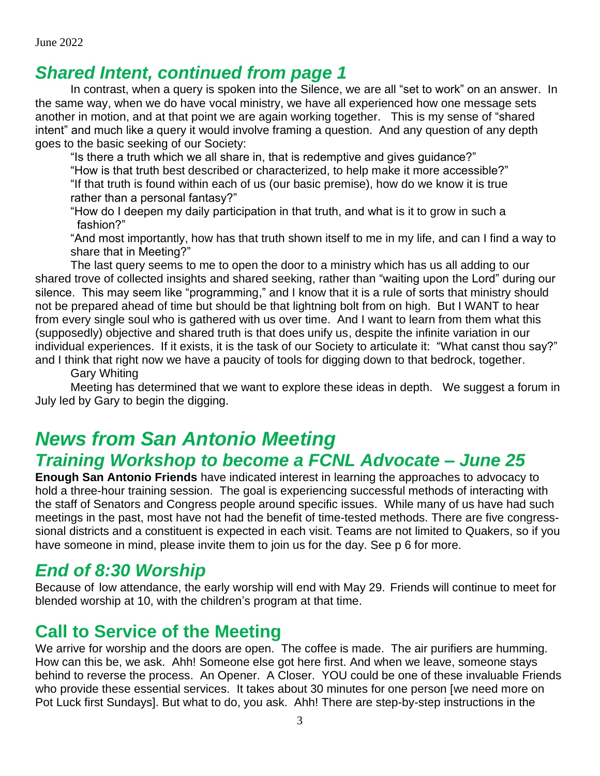## *Shared Intent, continued from page 1*

In contrast, when a query is spoken into the Silence, we are all "set to work" on an answer. In the same way, when we do have vocal ministry, we have all experienced how one message sets another in motion, and at that point we are again working together. This is my sense of "shared intent" and much like a query it would involve framing a question. And any question of any depth goes to the basic seeking of our Society:

"Is there a truth which we all share in, that is redemptive and gives guidance?"

"How is that truth best described or characterized, to help make it more accessible?" "If that truth is found within each of us (our basic premise), how do we know it is true rather than a personal fantasy?"

"How do I deepen my daily participation in that truth, and what is it to grow in such a fashion?"

"And most importantly, how has that truth shown itself to me in my life, and can I find a way to share that in Meeting?"

The last query seems to me to open the door to a ministry which has us all adding to our shared trove of collected insights and shared seeking, rather than "waiting upon the Lord" during our silence. This may seem like "programming," and I know that it is a rule of sorts that ministry should not be prepared ahead of time but should be that lightning bolt from on high. But I WANT to hear from every single soul who is gathered with us over time. And I want to learn from them what this (supposedly) objective and shared truth is that does unify us, despite the infinite variation in our individual experiences. If it exists, it is the task of our Society to articulate it: "What canst thou say?" and I think that right now we have a paucity of tools for digging down to that bedrock, together.

Gary Whiting

Meeting has determined that we want to explore these ideas in depth. We suggest a forum in July led by Gary to begin the digging.

## *News from San Antonio Meeting Training Workshop to become a FCNL Advocate – June 25*

**Enough San Antonio Friends** have indicated interest in learning the approaches to advocacy to hold a three-hour training session. The goal is experiencing successful methods of interacting with the staff of Senators and Congress people around specific issues. While many of us have had such meetings in the past, most have not had the benefit of time-tested methods. There are five congresssional districts and a constituent is expected in each visit. Teams are not limited to Quakers, so if you have someone in mind, please invite them to join us for the day. See p 6 for more.

## *End of 8:30 Worship*

Because of low attendance, the early worship will end with May 29. Friends will continue to meet for blended worship at 10, with the children's program at that time.

## **Call to Service of the Meeting**

We arrive for worship and the doors are open. The coffee is made. The air purifiers are humming. How can this be, we ask. Ahh! Someone else got here first. And when we leave, someone stays behind to reverse the process. An Opener. A Closer. YOU could be one of these invaluable Friends who provide these essential services. It takes about 30 minutes for one person [we need more on Pot Luck first Sundays]. But what to do, you ask. Ahh! There are step-by-step instructions in the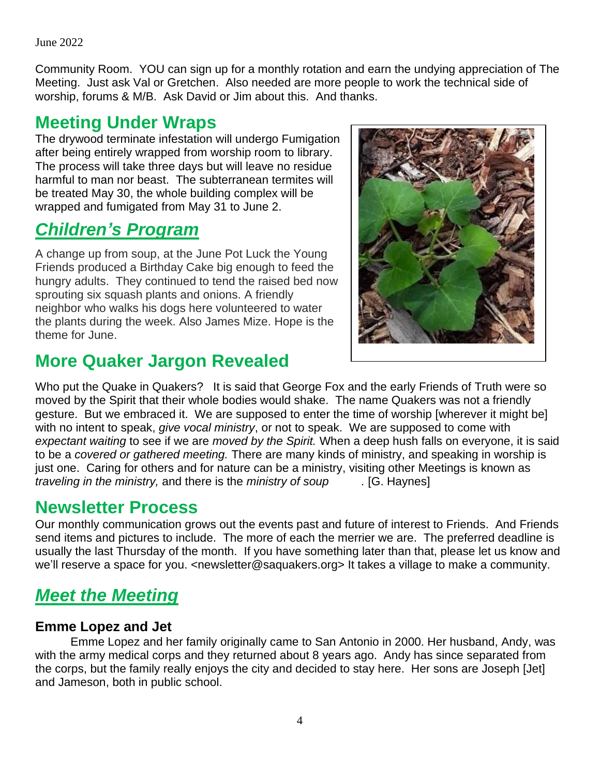Community Room. YOU can sign up for a monthly rotation and earn the undying appreciation of The Meeting. Just ask Val or Gretchen. Also needed are more people to work the technical side of worship, forums & M/B. Ask David or Jim about this. And thanks.

#### **Meeting Under Wraps**

The drywood terminate infestation will undergo Fumigation after being entirely wrapped from worship room to library. The process will take three days but will leave no residue harmful to man nor beast. The subterranean termites will be treated May 30, the whole building complex will be wrapped and fumigated from May 31 to June 2.

## *Children's Program*

A change up from soup, at the June Pot Luck the Young Friends produced a Birthday Cake big enough to feed the hungry adults. They continued to tend the raised bed now sprouting six squash plants and onions. A friendly neighbor who walks his dogs here volunteered to water the plants during the week. Also James Mize. Hope is the theme for June.

## **More Quaker Jargon Revealed**



Who put the Quake in Quakers? It is said that George Fox and the early Friends of Truth were so moved by the Spirit that their whole bodies would shake. The name Quakers was not a friendly gesture. But we embraced it. We are supposed to enter the time of worship [wherever it might be] with no intent to speak, *give vocal ministry*, or not to speak. We are supposed to come with *expectant waiting* to see if we are *moved by the Spirit.* When a deep hush falls on everyone, it is said to be a *covered or gathered meeting.* There are many kinds of ministry, and speaking in worship is just one. Caring for others and for nature can be a ministry, visiting other Meetings is known as *traveling in the ministry,* and there is the *ministry of soup .* [G. Haynes]

## **Newsletter Process**

Our monthly communication grows out the events past and future of interest to Friends. And Friends send items and pictures to include. The more of each the merrier we are. The preferred deadline is usually the last Thursday of the month. If you have something later than that, please let us know and we'll reserve a space for you. <newsletter@saquakers.org> It takes a village to make a community.

## *Meet the Meeting*

#### **Emme Lopez and Jet**

Emme Lopez and her family originally came to San Antonio in 2000. Her husband, Andy, was with the army medical corps and they returned about 8 years ago. Andy has since separated from the corps, but the family really enjoys the city and decided to stay here. Her sons are Joseph [Jet] and Jameson, both in public school.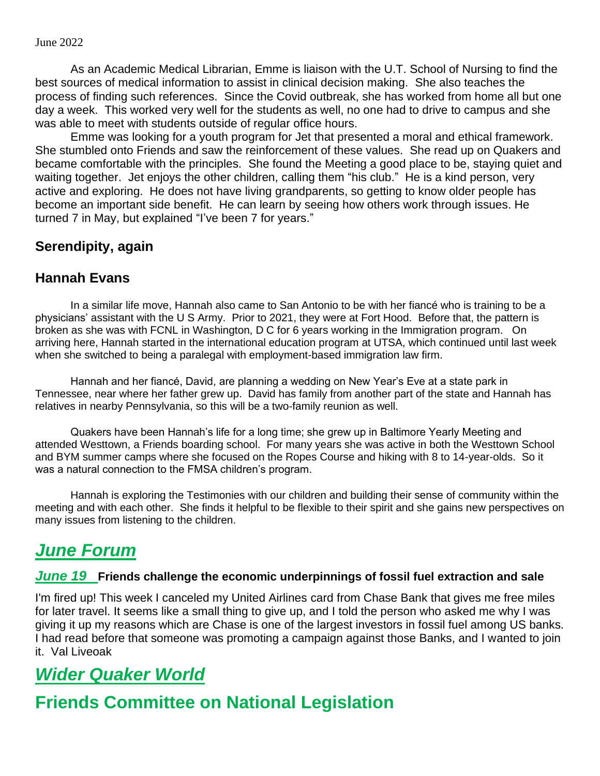As an Academic Medical Librarian, Emme is liaison with the U.T. School of Nursing to find the best sources of medical information to assist in clinical decision making. She also teaches the process of finding such references. Since the Covid outbreak, she has worked from home all but one day a week. This worked very well for the students as well, no one had to drive to campus and she was able to meet with students outside of regular office hours.

Emme was looking for a youth program for Jet that presented a moral and ethical framework. She stumbled onto Friends and saw the reinforcement of these values. She read up on Quakers and became comfortable with the principles. She found the Meeting a good place to be, staying quiet and waiting together. Jet enjoys the other children, calling them "his club." He is a kind person, very active and exploring. He does not have living grandparents, so getting to know older people has become an important side benefit. He can learn by seeing how others work through issues. He turned 7 in May, but explained "I've been 7 for years."

#### **Serendipity, again**

#### **Hannah Evans**

In a similar life move, Hannah also came to San Antonio to be with her fiancé who is training to be a physicians' assistant with the U S Army. Prior to 2021, they were at Fort Hood. Before that, the pattern is broken as she was with FCNL in Washington, D C for 6 years working in the Immigration program. On arriving here, Hannah started in the international education program at UTSA, which continued until last week when she switched to being a paralegal with employment-based immigration law firm.

Hannah and her fiancé, David, are planning a wedding on New Year's Eve at a state park in Tennessee, near where her father grew up. David has family from another part of the state and Hannah has relatives in nearby Pennsylvania, so this will be a two-family reunion as well.

Quakers have been Hannah's life for a long time; she grew up in Baltimore Yearly Meeting and attended Westtown, a Friends boarding school. For many years she was active in both the Westtown School and BYM summer camps where she focused on the Ropes Course and hiking with 8 to 14-year-olds. So it was a natural connection to the FMSA children's program.

Hannah is exploring the Testimonies with our children and building their sense of community within the meeting and with each other. She finds it helpful to be flexible to their spirit and she gains new perspectives on many issues from listening to the children.

## *June Forum*

#### *June 19* **Friends challenge the economic underpinnings of fossil fuel extraction and sale**

I'm fired up! This week I canceled my United Airlines card from Chase Bank that gives me free miles for later travel. It seems like a small thing to give up, and I told the person who asked me why I was giving it up my reasons which are Chase is one of the largest investors in fossil fuel among US banks. I had read before that someone was promoting a campaign against those Banks, and I wanted to join it. Val Liveoak

## *Wider Quaker World*

## **Friends Committee on National Legislation**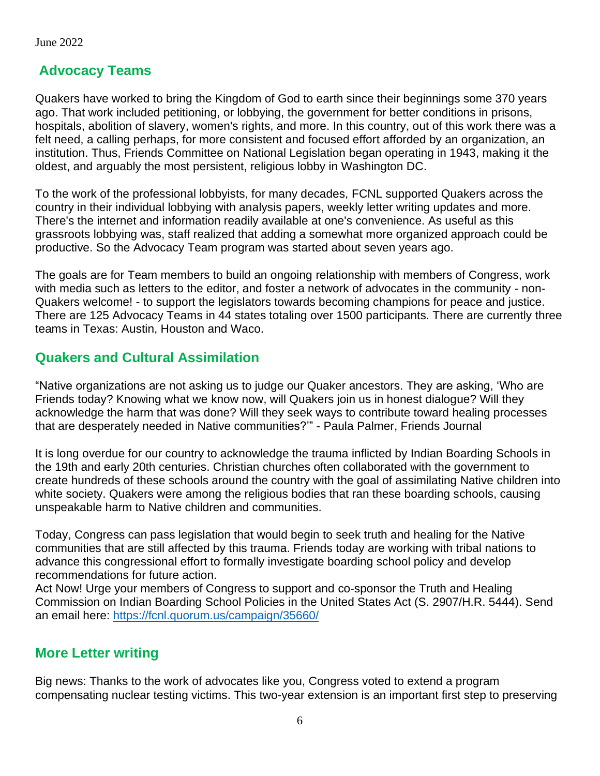#### **Advocacy Teams**

Quakers have worked to bring the Kingdom of God to earth since their beginnings some 370 years ago. That work included petitioning, or lobbying, the government for better conditions in prisons, hospitals, abolition of slavery, women's rights, and more. In this country, out of this work there was a felt need, a calling perhaps, for more consistent and focused effort afforded by an organization, an institution. Thus, Friends Committee on National Legislation began operating in 1943, making it the oldest, and arguably the most persistent, religious lobby in Washington DC.

To the work of the professional lobbyists, for many decades, FCNL supported Quakers across the country in their individual lobbying with analysis papers, weekly letter writing updates and more. There's the internet and information readily available at one's convenience. As useful as this grassroots lobbying was, staff realized that adding a somewhat more organized approach could be productive. So the Advocacy Team program was started about seven years ago.

The goals are for Team members to build an ongoing relationship with members of Congress, work with media such as letters to the editor, and foster a network of advocates in the community - non-Quakers welcome! - to support the legislators towards becoming champions for peace and justice. There are 125 Advocacy Teams in 44 states totaling over 1500 participants. There are currently three teams in Texas: Austin, Houston and Waco.

#### **Quakers and Cultural Assimilation**

"Native organizations are not asking us to judge our Quaker ancestors. They are asking, 'Who are Friends today? Knowing what we know now, will Quakers join us in honest dialogue? Will they acknowledge the harm that was done? Will they seek ways to contribute toward healing processes that are desperately needed in Native communities?'" - Paula Palmer, Friends Journal

It is long overdue for our country to acknowledge the trauma inflicted by Indian Boarding Schools in the 19th and early 20th centuries. Christian churches often collaborated with the government to create hundreds of these schools around the country with the goal of assimilating Native children into white society. Quakers were among the religious bodies that ran these boarding schools, causing unspeakable harm to Native children and communities.

Today, Congress can pass legislation that would begin to seek truth and healing for the Native communities that are still affected by this trauma. Friends today are working with tribal nations to advance this congressional effort to formally investigate boarding school policy and develop recommendations for future action.

Act Now! Urge your members of Congress to support and co-sponsor the Truth and Healing Commission on Indian Boarding School Policies in the United States Act (S. 2907/H.R. 5444). Send an email here: <https://fcnl.quorum.us/campaign/35660/>

#### **More Letter writing**

Big news: Thanks to the work of advocates like you, Congress voted to extend a program compensating nuclear testing victims. This two-year extension is an important first step to preserving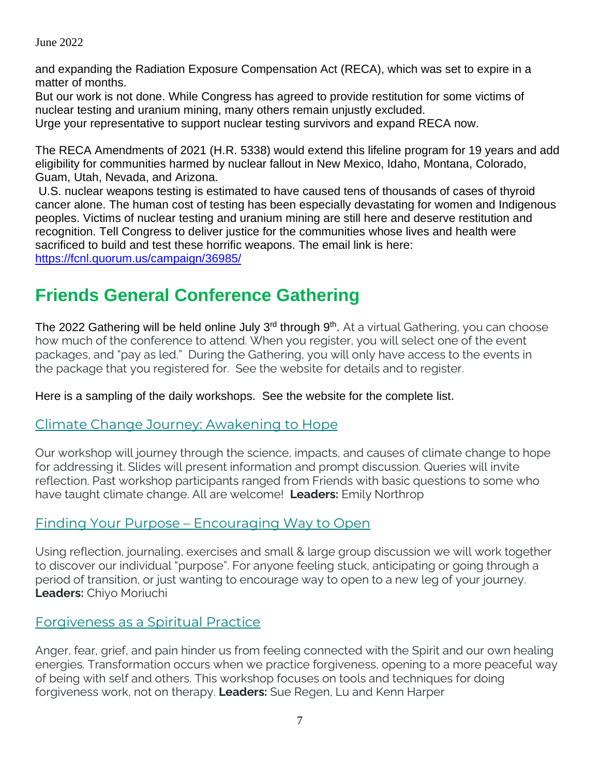and expanding the Radiation Exposure Compensation Act (RECA), which was set to expire in a matter of months.

But our work is not done. While Congress has agreed to provide restitution for some victims of nuclear testing and uranium mining, many others remain unjustly excluded. Urge your representative to support nuclear testing survivors and expand RECA now.

The RECA Amendments of 2021 (H.R. 5338) would extend this lifeline program for 19 years and add eligibility for communities harmed by nuclear fallout in New Mexico, Idaho, Montana, Colorado, Guam, Utah, Nevada, and Arizona.

U.S. nuclear weapons testing is estimated to have caused tens of thousands of cases of thyroid cancer alone. The human cost of testing has been especially devastating for women and Indigenous peoples. Victims of nuclear testing and uranium mining are still here and deserve restitution and recognition. Tell Congress to deliver justice for the communities whose lives and health were sacrificed to build and test these horrific weapons. The email link is here: <https://fcnl.quorum.us/campaign/36985/>

## **Friends General Conference Gathering**

The 2022 Gathering will be held online July 3<sup>rd</sup> through 9<sup>th</sup>. At a virtual Gathering, you can choose how much of the conference to attend. When you register, you will select one of the event packages, and "pay as led." During the Gathering, you will only have access to the events in the package that you registered for. See the website for details and to register.

Here is a sampling of the daily workshops. See the website for the complete list.

#### [Climate Change Journey: Awakening to Hope](https://www.fgcquaker.org/fgcworkshops/climate-change-journey-awakening-to-hope/)

Our workshop will journey through the science, impacts, and causes of climate change to hope for addressing it. Slides will present information and prompt discussion. Queries will invite reflection. Past workshop participants ranged from Friends with basic questions to some who have taught climate change. All are welcome! **Leaders:** Emily Northrop

#### [Finding Your Purpose](https://www.fgcquaker.org/fgcworkshops/finding-your-purpose-encouraging-way-to-open-2/) – Encouraging Way to Open

Using reflection, journaling, exercises and small & large group discussion we will work together to discover our individual "purpose". For anyone feeling stuck, anticipating or going through a period of transition, or just wanting to encourage way to open to a new leg of your journey. **Leaders:** Chiyo Moriuchi

#### Forgiveness [as a Spiritual](https://www.fgcquaker.org/fgcworkshops/forgiveness-as-a-spiritual-practice/) Practice

Anger, fear, grief, and pain hinder us from feeling connected with the Spirit and our own healing energies. Transformation occurs when we practice forgiveness, opening to a more peaceful way of being with self and others. This workshop focuses on tools and techniques for doing forgiveness work, not on therapy. **Leaders:** Sue Regen, Lu and Kenn Harper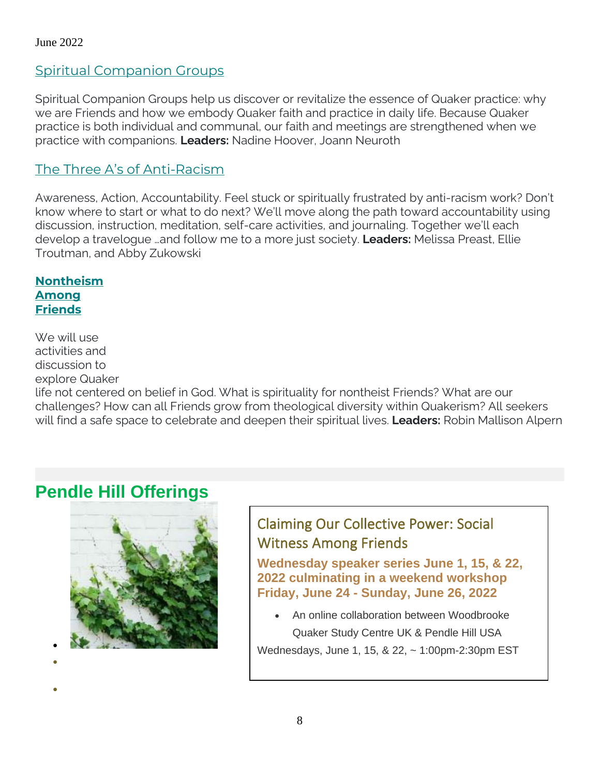#### [Spiritual Companion Groups](https://www.fgcquaker.org/fgcworkshops/spiritual-companion-groups/)

Spiritual Companion Groups help us discover or revitalize the essence of Quaker practice: why we are Friends and how we embody Quaker faith and practice in daily life. Because Quaker practice is both individual and communal, our faith and meetings are strengthened when we practice with companions. **Leaders:** Nadine Hoover, Joann Neuroth

#### The [Three A's of Anti](https://www.fgcquaker.org/fgcworkshops/the-three-as-of-anti-racism/)-Racism

Awareness, Action, Accountability. Feel stuck or spiritually frustrated by anti-racism work? Don't know where to start or what to do next? We'll move along the path toward accountability using discussion, instruction, meditation, self-care activities, and journaling. Together we'll each develop a travelogue …and follow me to a more just society. **Leaders:** Melissa Preast, Ellie Troutman, and Abby Zukowski

**[Nontheism](https://www.fgcquaker.org/fgcworkshops/nontheism-among-friends/) [Among](https://www.fgcquaker.org/fgcworkshops/nontheism-among-friends/)  [Friends](https://www.fgcquaker.org/fgcworkshops/nontheism-among-friends/)**

We will use activities and discussion to explore Quaker

life not centered on belief in God. What is spirituality for nontheist Friends? What are our challenges? How can all Friends grow from theological diversity within Quakerism? All seekers will find a safe space to celebrate and deepen their spiritual lives. **Leaders:** Robin Mallison Alpern

## **Pendle Hill Offerings**



 $\bullet$ 

 $\bullet$ 

Claiming Our Collective Power: Social Witness Among Friends

**Wednesday speaker series June 1, 15, & 22, 2022 culminating in a weekend workshop Friday, June 24 - Sunday, June 26, 2022**

 An online collaboration between Woodbrooke Quaker Study Centre UK & Pendle Hill USA

Wednesdays, June 1, 15, & 22, ~ 1:00pm-2:30pm EST

8